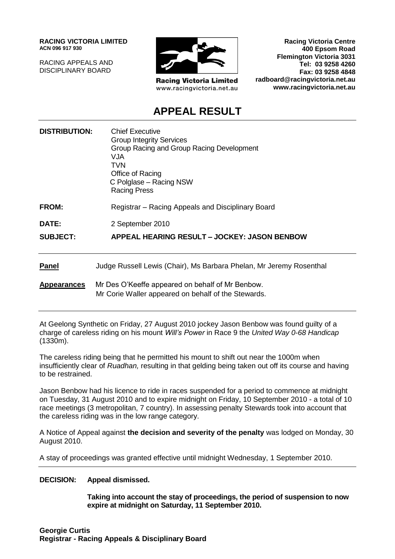**RACING VICTORIA LIMITED ACN 096 917 930**

RACING APPEALS AND DISCIPLINARY BOARD



**Racing Victoria Limited** www.racingvictoria.net.au

**Racing Victoria Centre 400 Epsom Road Flemington Victoria 3031 Tel: 03 9258 4260 Fax: 03 9258 4848 radboard@racingvictoria.net.au www.racingvictoria.net.au**

## **APPEAL RESULT**

| <b>DISTRIBUTION:</b> | <b>Chief Executive</b><br><b>Group Integrity Services</b><br>Group Racing and Group Racing Development<br><b>VJA</b><br><b>TVN</b><br>Office of Racing<br>C Polglase – Racing NSW<br><b>Racing Press</b> |
|----------------------|----------------------------------------------------------------------------------------------------------------------------------------------------------------------------------------------------------|
| <b>FROM:</b>         | Registrar – Racing Appeals and Disciplinary Board                                                                                                                                                        |
| <b>DATE:</b>         | 2 September 2010                                                                                                                                                                                         |
| <b>SUBJECT:</b>      | APPEAL HEARING RESULT - JOCKEY: JASON BENBOW                                                                                                                                                             |
| <b>Panel</b>         | Judge Russell Lewis (Chair), Ms Barbara Phelan, Mr Jeremy Rosenthal                                                                                                                                      |
| <b>Appearances</b>   | Mr Des O'Keeffe appeared on behalf of Mr Benbow.<br>Mr Corie Waller appeared on behalf of the Stewards.                                                                                                  |

At Geelong Synthetic on Friday, 27 August 2010 jockey Jason Benbow was found guilty of a charge of careless riding on his mount *Will's Power* in Race 9 the *United Way 0-68 Handicap*  (1330m).

The careless riding being that he permitted his mount to shift out near the 1000m when insufficiently clear of *Ruadhan,* resulting in that gelding being taken out off its course and having to be restrained.

Jason Benbow had his licence to ride in races suspended for a period to commence at midnight on Tuesday, 31 August 2010 and to expire midnight on Friday, 10 September 2010 - a total of 10 race meetings (3 metropolitan, 7 country). In assessing penalty Stewards took into account that the careless riding was in the low range category.

A Notice of Appeal against **the decision and severity of the penalty** was lodged on Monday, 30 August 2010.

A stay of proceedings was granted effective until midnight Wednesday, 1 September 2010.

#### **DECISION: Appeal dismissed.**

**Taking into account the stay of proceedings, the period of suspension to now expire at midnight on Saturday, 11 September 2010.**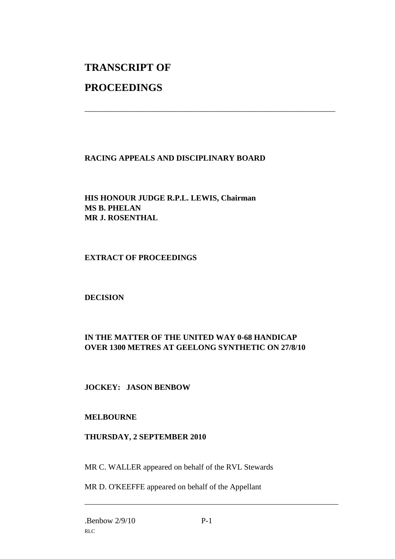# **TRANSCRIPT OF**

## **PROCEEDINGS**

### **RACING APPEALS AND DISCIPLINARY BOARD**

\_\_\_\_\_\_\_\_\_\_\_\_\_\_\_\_\_\_\_\_\_\_\_\_\_\_\_\_\_\_\_\_\_\_\_\_\_\_\_\_\_\_\_\_\_\_\_\_\_\_\_\_\_\_\_\_\_\_\_\_\_\_\_

**HIS HONOUR JUDGE R.P.L. LEWIS, Chairman MS B. PHELAN MR J. ROSENTHAL**

#### **EXTRACT OF PROCEEDINGS**

#### **DECISION**

### **IN THE MATTER OF THE UNITED WAY 0-68 HANDICAP OVER 1300 METRES AT GEELONG SYNTHETIC ON 27/8/10**

#### **JOCKEY: JASON BENBOW**

#### **MELBOURNE**

#### **THURSDAY, 2 SEPTEMBER 2010**

MR C. WALLER appeared on behalf of the RVL Stewards

MR D. O'KEEFFE appeared on behalf of the Appellant